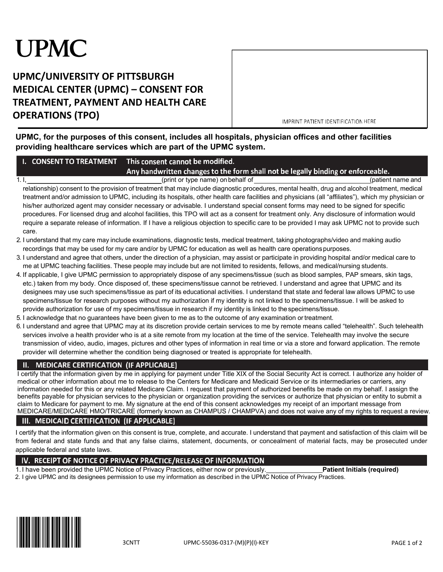# **UPMC**

## **UPMC/UNIVERSITY OF PITTSBURGH MEDICAL CENTER (UPMC) – CONSENT FOR TREATMENT, PAYMENT AND HEALTH CARE OPERATIONS (TPO)**

IMPRINT PATIENT IDENTIFICATION HERE

**UPMC, for the purposes of this consent, includes all hospitals, physician offices and other facilities providing healthcare services which are part of the UPMC system.** 

|  | <b>I. CONSENT TO TREATMENT</b> This consent cannot be modified.                      |                   |
|--|--------------------------------------------------------------------------------------|-------------------|
|  | l Any handwritten changes to the form shall not be legally binding or enforceable. [ |                   |
|  | (print or type name) on behalf of                                                    | (patient name and |

relationship) consent to the provision of treatment that may include diagnostic procedures, mental health, drug and alcohol treatment, medical treatment and/or admission to UPMC, including its hospitals, other health care facilities and physicians (all "affiliates"), which my physician or his/her authorized agent may consider necessary or advisable. I understand special consent forms may need to be signed for specific procedures. For licensed drug and alcohol facilities, this TPO will act as a consent for treatment only. Any disclosure of information would require a separate release of information. If I have a religious objection to specific care to be provided I may ask UPMC not to provide such care.

- 2. I understand that my care may include examinations, diagnostic tests, medical treatment, taking photographs/video and making audio recordings that may be used for my care and/or by UPMC for education as well as health care operationspurposes.
- 3. I understand and agree that others, under the direction of a physician, may assist or participate in providing hospital and/or medical care to me at UPMC teaching facilities. These people may include but are not limited to residents, fellows, and medical/nursing students.
- 4. If applicable, I give UPMC permission to appropriately dispose of any specimens/tissue (such as blood samples, PAP smears, skin tags, etc.) taken from my body. Once disposed of, these specimens/tissue cannot be retrieved. I understand and agree that UPMC and its designees may use such specimens/tissue as part of its educational activities. I understand that state and federal law allows UPMC to use specimens/tissue for research purposes without my authorization if my identity is not linked to the specimens/tissue. I will be asked to provide authorization for use of my specimens/tissue in research if my identity is linked to thespecimens/tissue.
- 5. I acknowledge that no guarantees have been given to me as to the outcome of any examination ortreatment.
- 6. I understand and agree that UPMC may at its discretion provide certain services to me by remote means called "telehealth". Such telehealth services involve a health provider who is at a site remote from my location at the time of the service. Telehealth may involve the secure transmission of video, audio, images, pictures and other types of information in real time or via a store and forward application. The remote provider will determine whether the condition being diagnosed or treated is appropriate for telehealth.

#### **MEDICARE CERTIFICATION (IF APPLICABLE)** П.

I certify that the information given by me in applying for payment under Title XIX of the Social Security Act is correct. I authorize any holder of medical or other information about me to release to the Centers for Medicare and Medicaid Service or its intermediaries or carriers, any information needed for this or any related Medicare Claim. I request that payment of authorized benefits be made on my behalf. I assign the benefits payable for physician services to the physician or organization providing the services or authorize that physician or entity to submit a claim to Medicare for payment to me. My signature at the end of this consent acknowledges my receipt of an important message from MEDICARE/MEDICARE HMO/TRICARE (formerly known as CHAMPUS / CHAMPVA) and does not waive any of my rights to request a review.

## III. MEDICAID CERTIFICATION (IF APPLICABLE)

I certify that the information given on this consent is true, complete, and accurate. I understand that payment and satisfaction of this claim will be from federal and state funds and that any false claims, statement, documents, or concealment of material facts, may be prosecuted under applicable federal and state laws.

## IV. RECEIPT OF NOTICE OF PRIVACY PRACTICE/RELEASE OF INFORMATION

1. I have been provided the UPMC Notice of Privacy Practices, either now or previously.\_\_\_\_\_\_\_\_\_ **Patient Initials (required)** 2. I give UPMC and its designees permission to use my information as described in the UPMC Notice of Privacy Practices.